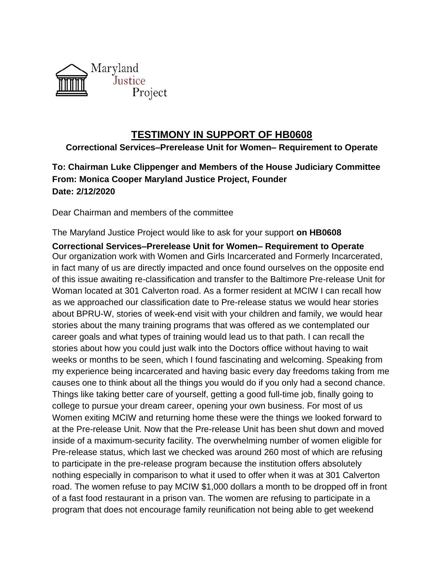

## **TESTIMONY IN SUPPORT OF HB0608**

## **Correctional Services–Prerelease Unit for Women– Requirement to Operate**

## **To: Chairman Luke Clippenger and Members of the House Judiciary Committee From: Monica Cooper Maryland Justice Project, Founder Date: 2/12/2020**

Dear Chairman and members of the committee

The Maryland Justice Project would like to ask for your support **on HB0608**

**Correctional Services–Prerelease Unit for Women– Requirement to Operate** Our organization work with Women and Girls Incarcerated and Formerly Incarcerated, in fact many of us are directly impacted and once found ourselves on the opposite end of this issue awaiting re-classification and transfer to the Baltimore Pre-release Unit for Woman located at 301 Calverton road. As a former resident at MCIW I can recall how as we approached our classification date to Pre-release status we would hear stories about BPRU-W, stories of week-end visit with your children and family, we would hear stories about the many training programs that was offered as we contemplated our career goals and what types of training would lead us to that path. I can recall the stories about how you could just walk into the Doctors office without having to wait weeks or months to be seen, which I found fascinating and welcoming. Speaking from my experience being incarcerated and having basic every day freedoms taking from me causes one to think about all the things you would do if you only had a second chance. Things like taking better care of yourself, getting a good full-time job, finally going to college to pursue your dream career, opening your own business. For most of us Women exiting MCIW and returning home these were the things we looked forward to at the Pre-release Unit. Now that the Pre-release Unit has been shut down and moved inside of a maximum-security facility. The overwhelming number of women eligible for Pre-release status, which last we checked was around 260 most of which are refusing to participate in the pre-release program because the institution offers absolutely nothing especially in comparison to what it used to offer when it was at 301 Calverton road. The women refuse to pay MCIW \$1,000 dollars a month to be dropped off in front of a fast food restaurant in a prison van. The women are refusing to participate in a program that does not encourage family reunification not being able to get weekend